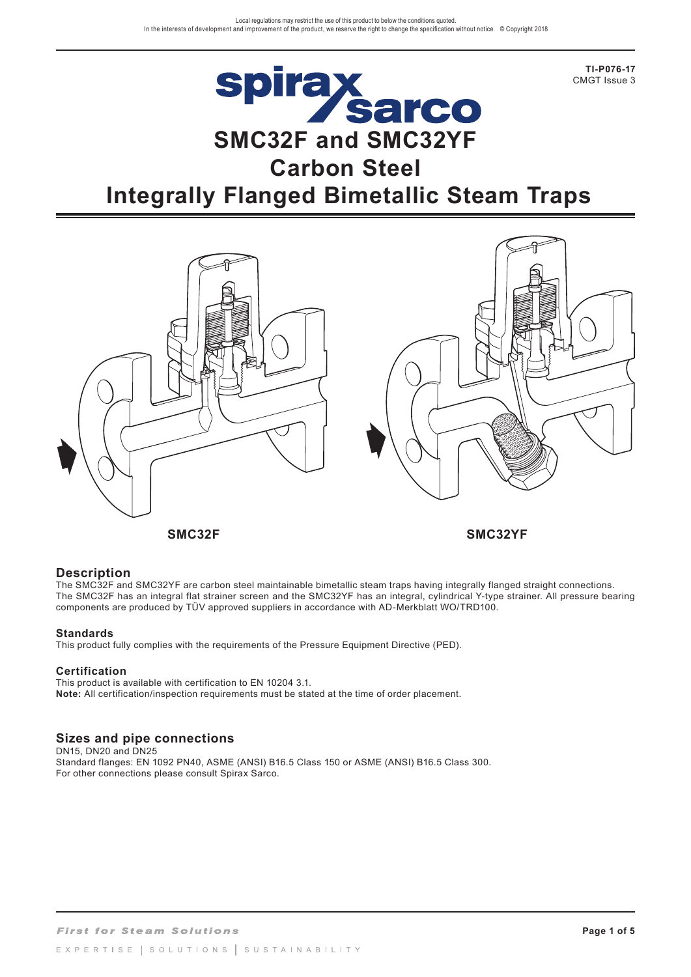**TI-P076-17** CMGT Issue 3

# **Spirax<br>Sarco**<br>SMC32F and SMC32YF **Carbon Steel Integrally Flanged Bimetallic Steam Traps**



**SMC32F SMC32YF**

#### **Description**

The SMC32F and SMC32YF are carbon steel maintainable bimetallic steam traps having integrally flanged straight connections. The SMC32F has an integral flat strainer screen and the SMC32YF has an integral, cylindrical Y-type strainer. All pressure bearing components are produced by TÜV approved suppliers in accordance with AD-Merkblatt WO/TRD100.

#### **Standards**

This product fully complies with the requirements of the Pressure Equipment Directive (PED).

#### **Certification**

This product is available with certification to EN 10204 3.1. **Note:** All certification/inspection requirements must be stated at the time of order placement.

# **Sizes and pipe connections**

DN15, DN20 and DN25 Standard flanges: EN 1092 PN40, ASME (ANSI) B16.5 Class 150 or ASME (ANSI) B16.5 Class 300. For other connections please consult Spirax Sarco.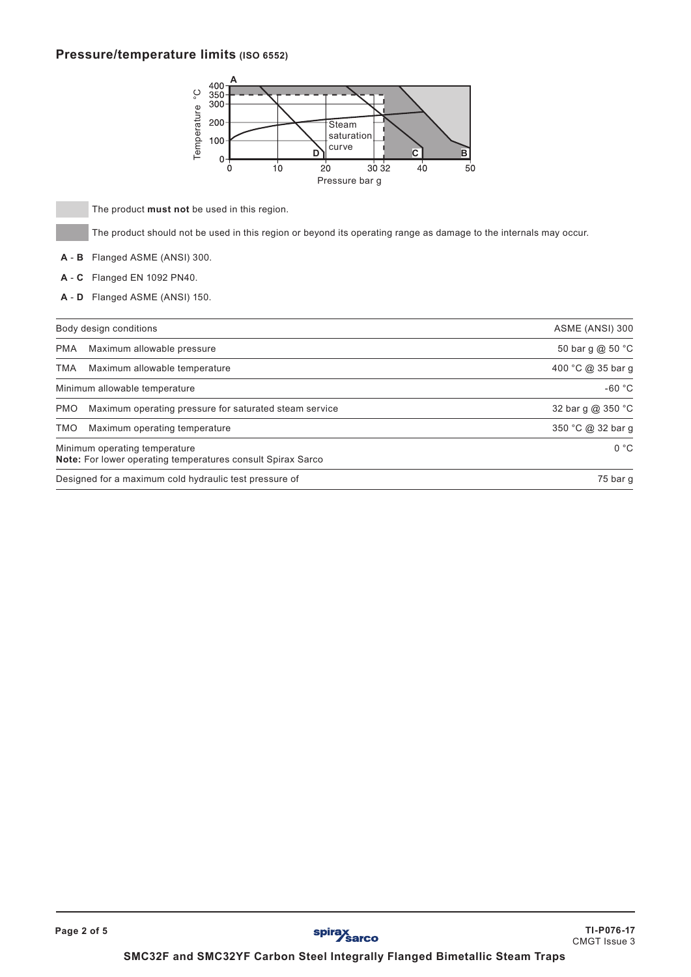### **Pressure/temperature limits (ISO 6552)**



- **A B** Flanged ASME (ANSI) 300.
- **A C** Flanged EN 1092 PN40.
- **A D** Flanged ASME (ANSI) 150.

|            | ့<br>350<br>300<br>Temperature<br>200<br>Steam<br>saturation<br>100<br>curve<br>$\overline{\mathbf{c}}$<br>в<br>D<br>0<br>10<br>30 32<br>40<br>20<br>0<br>50<br>Pressure bar g |
|------------|--------------------------------------------------------------------------------------------------------------------------------------------------------------------------------|
|            | The product must not be used in this region.                                                                                                                                   |
|            | The product should not be used in this region or beyond its operating range as damage to the internals may occur.                                                              |
| A - B      | Flanged ASME (ANSI) 300.                                                                                                                                                       |
| $A - C$    | Flanged EN 1092 PN40.                                                                                                                                                          |
| $A - D$    | Flanged ASME (ANSI) 150.                                                                                                                                                       |
|            | Body design conditions<br>ASME (ANSI) 300                                                                                                                                      |
| <b>PMA</b> | 50 bar g @ 50 °C<br>Maximum allowable pressure                                                                                                                                 |
| <b>TMA</b> | 400 °C @ 35 bar g<br>Maximum allowable temperature                                                                                                                             |
|            | $-60 °C$<br>Minimum allowable temperature                                                                                                                                      |
| <b>PMO</b> | 32 bar g @ 350 °C<br>Maximum operating pressure for saturated steam service                                                                                                    |
| <b>TMO</b> | 350 °C @ 32 bar g<br>Maximum operating temperature                                                                                                                             |
|            | 0 °C<br>Minimum operating temperature<br>Note: For lower operating temperatures consult Spirax Sarco                                                                           |
|            | Designed for a maximum cold hydraulic test pressure of<br>75 bar g                                                                                                             |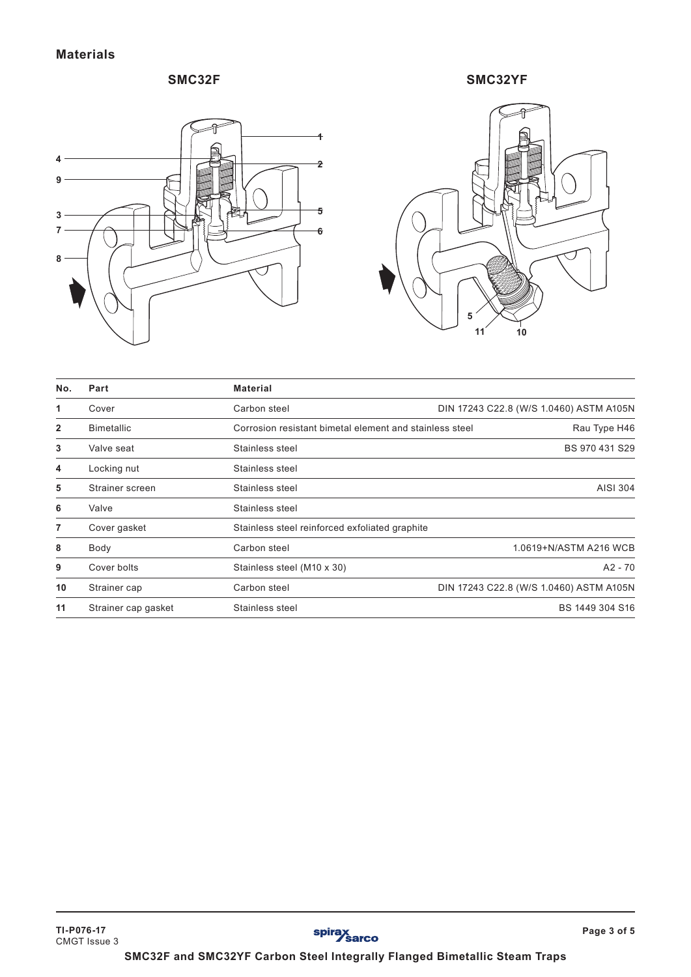# **SMC32F**



**SMC32YF**



| No.          | Part                | <b>Material</b>                                         |                                         |
|--------------|---------------------|---------------------------------------------------------|-----------------------------------------|
| 1            | Cover               | Carbon steel                                            | DIN 17243 C22.8 (W/S 1.0460) ASTM A105N |
| $\mathbf{2}$ | <b>Bimetallic</b>   | Corrosion resistant bimetal element and stainless steel | Rau Type H46                            |
| 3            | Valve seat          | Stainless steel                                         | BS 970 431 S29                          |
| 4            | Locking nut         | Stainless steel                                         |                                         |
| 5            | Strainer screen     | Stainless steel                                         | AISI 304                                |
| 6            | Valve               | Stainless steel                                         |                                         |
| 7            | Cover gasket        | Stainless steel reinforced exfoliated graphite          |                                         |
| 8            | Body                | Carbon steel                                            | 1.0619+N/ASTM A216 WCB                  |
| 9            | Cover bolts         | Stainless steel (M10 x 30)                              | $A2 - 70$                               |
| 10           | Strainer cap        | Carbon steel                                            | DIN 17243 C22.8 (W/S 1.0460) ASTM A105N |
| 11           | Strainer cap gasket | Stainless steel                                         | BS 1449 304 S16                         |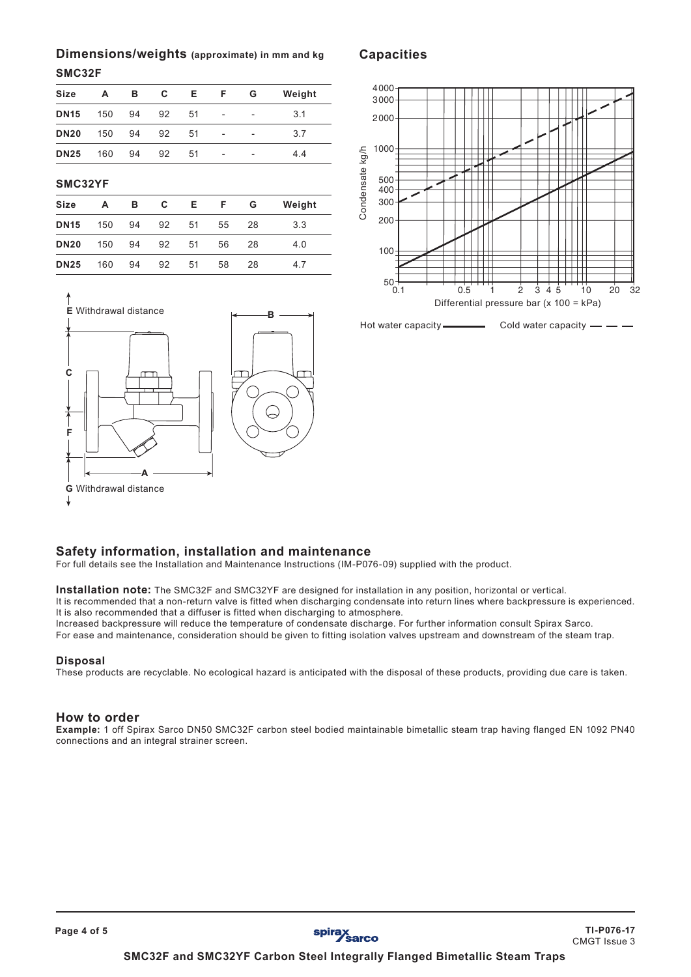# **Dimensions/weights (approximate) in mm and kg**

#### **SMC32F**

| <b>Size</b> | А   | в  | C  | Е. | F                        | G                        | Weight |
|-------------|-----|----|----|----|--------------------------|--------------------------|--------|
| <b>DN15</b> | 150 | 94 | 92 | 51 | $\overline{\phantom{a}}$ | $\overline{\phantom{0}}$ | 3.1    |
| <b>DN20</b> | 150 | 94 | 92 | 51 | $\overline{\phantom{a}}$ | $\overline{a}$           | 3.7    |
| <b>DN25</b> | 160 | 94 | 92 | 51 | ÷                        | $\overline{a}$           | 4.4    |
|             |     |    |    |    |                          |                          |        |

**SMC32YF**

| <b>Size</b> | A   | в     | C  | Е. |    | F G | Weight |
|-------------|-----|-------|----|----|----|-----|--------|
| <b>DN15</b> | 150 | 94 92 |    | 51 | 55 | -28 | 3.3    |
| <b>DN20</b> | 150 | 94 92 |    | 51 | 56 | -28 | 4.0    |
| <b>DN25</b> | 160 | 94    | 92 | 51 | 58 | 28  | 4.7    |



# 4000 3000 2000 1000 Condensate kg/h Condensate kg/h 500 400 300 200 100  $^{50}$  + 0.1 0.5 1 2 3 4 5 10 20 32 Differential pressure bar (x 100 = kPa)

**Capacities**

Hot water capacity Cold water capacity

#### **Safety information, installation and maintenance**

For full details see the Installation and Maintenance Instructions (IM-P076-09) supplied with the product.

**Installation note:** The SMC32F and SMC32YF are designed for installation in any position, horizontal or vertical.

It is recommended that a non-return valve is fitted when discharging condensate into return lines where backpressure is experienced. It is also recommended that a diffuser is fitted when discharging to atmosphere.

Increased backpressure will reduce the temperature of condensate discharge. For further information consult Spirax Sarco.

For ease and maintenance, consideration should be given to fitting isolation valves upstream and downstream of the steam trap.

#### **Disposal**

These products are recyclable. No ecological hazard is anticipated with the disposal of these products, providing due care is taken.

#### **How to order**

**Example:** 1 off Spirax Sarco DN50 SMC32F carbon steel bodied maintainable bimetallic steam trap having flanged EN 1092 PN40 connections and an integral strainer screen.